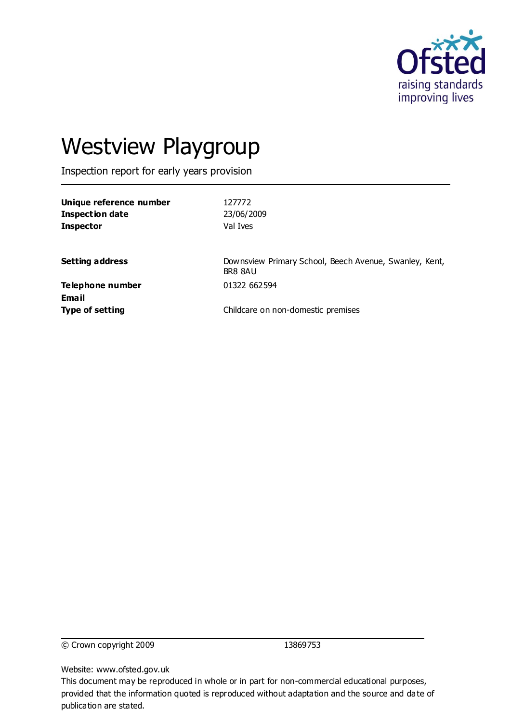

# Westview Playgroup

Inspection report for early years provision

| Unique reference number<br><b>Inspection date</b><br><b>Inspector</b> | 127772<br>23/06/2009<br>Val Ives                                  |
|-----------------------------------------------------------------------|-------------------------------------------------------------------|
| <b>Setting address</b>                                                | Downsview Primary School, Beech Avenue, Swanley, Kent,<br>BR8 8AU |
| <b>Telephone number</b><br>Email                                      | 01322 662594                                                      |
| <b>Type of setting</b>                                                | Childcare on non-domestic premises                                |

© Crown copyright 2009 13869753

Website: www.ofsted.gov.uk

This document may be reproduced in whole or in part for non-commercial educational purposes, provided that the information quoted is reproduced without adaptation and the source and date of publication are stated.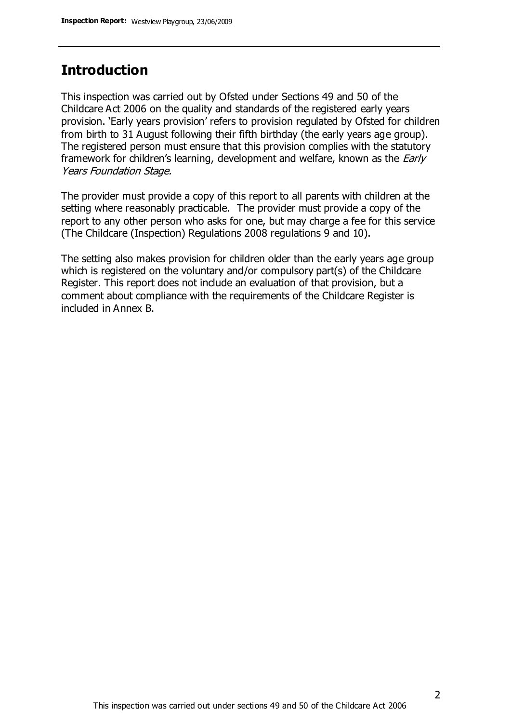#### **Introduction**

This inspection was carried out by Ofsted under Sections 49 and 50 of the Childcare Act 2006 on the quality and standards of the registered early years provision. 'Early years provision' refers to provision regulated by Ofsted for children from birth to 31 August following their fifth birthday (the early years age group). The registered person must ensure that this provision complies with the statutory framework for children's learning, development and welfare, known as the *Early* Years Foundation Stage.

The provider must provide a copy of this report to all parents with children at the setting where reasonably practicable. The provider must provide a copy of the report to any other person who asks for one, but may charge a fee for this service (The Childcare (Inspection) Regulations 2008 regulations 9 and 10).

The setting also makes provision for children older than the early years age group which is registered on the voluntary and/or compulsory part(s) of the Childcare Register. This report does not include an evaluation of that provision, but a comment about compliance with the requirements of the Childcare Register is included in Annex B.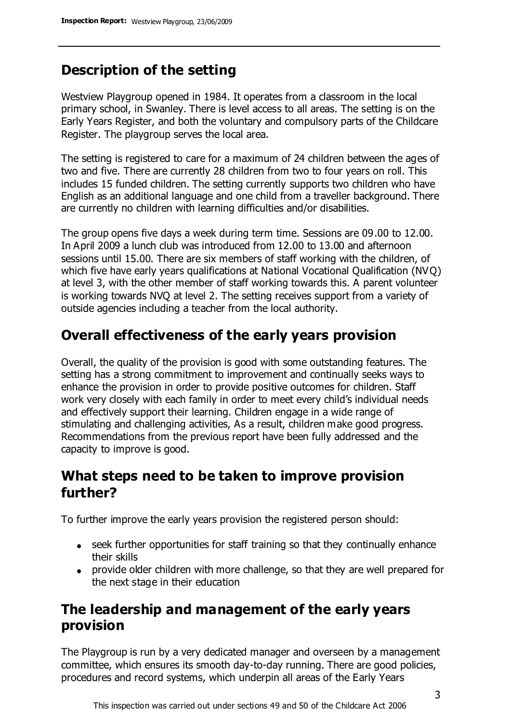# **Description of the setting**

Westview Playgroup opened in 1984. It operates from a classroom in the local primary school, in Swanley. There is level access to all areas. The setting is on the Early Years Register, and both the voluntary and compulsory parts of the Childcare Register. The playgroup serves the local area.

The setting is registered to care for a maximum of 24 children between the ages of two and five. There are currently 28 children from two to four years on roll. This includes 15 funded children. The setting currently supports two children who have English as an additional language and one child from a traveller background. There are currently no children with learning difficulties and/or disabilities.

The group opens five days a week during term time. Sessions are 09.00 to 12.00. In April 2009 a lunch club was introduced from 12.00 to 13.00 and afternoon sessions until 15.00. There are six members of staff working with the children, of which five have early years qualifications at National Vocational Qualification (NVQ) at level 3, with the other member of staff working towards this. A parent volunteer is working towards NVQ at level 2. The setting receives support from a variety of outside agencies including a teacher from the local authority.

## **Overall effectiveness of the early years provision**

Overall, the quality of the provision is good with some outstanding features. The setting has a strong commitment to improvement and continually seeks ways to enhance the provision in order to provide positive outcomes for children. Staff work very closely with each family in order to meet every child's individual needs and effectively support their learning. Children engage in a wide range of stimulating and challenging activities, As a result, children make good progress. Recommendations from the previous report have been fully addressed and the capacity to improve is good.

#### **What steps need to be taken to improve provision further?**

To further improve the early years provision the registered person should:

- seek further opportunities for staff training so that they continually enhance their skills
- provide older children with more challenge, so that they are well prepared for the next stage in their education

## **The leadership and management of the early years provision**

The Playgroup is run by a very dedicated manager and overseen by a management committee, which ensures its smooth day-to-day running. There are good policies, procedures and record systems, which underpin all areas of the Early Years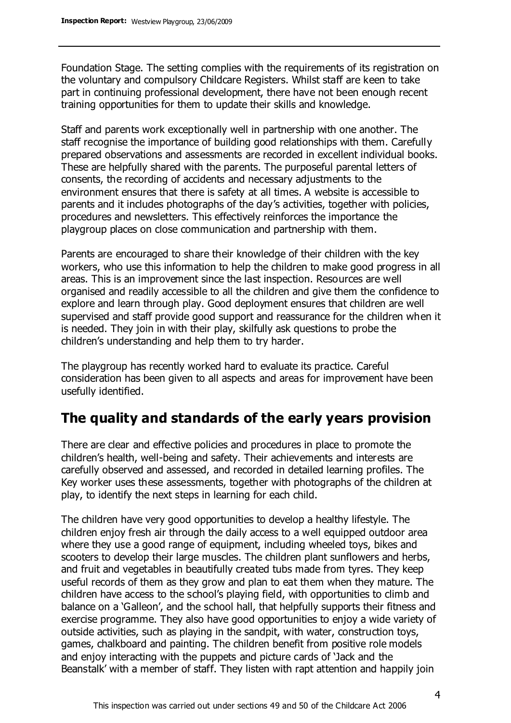Foundation Stage. The setting complies with the requirements of its registration on the voluntary and compulsory Childcare Registers. Whilst staff are keen to take part in continuing professional development, there have not been enough recent training opportunities for them to update their skills and knowledge.

Staff and parents work exceptionally well in partnership with one another. The staff recognise the importance of building good relationships with them. Carefully prepared observations and assessments are recorded in excellent individual books. These are helpfully shared with the parents. The purposeful parental letters of consents, the recording of accidents and necessary adjustments to the environment ensures that there is safety at all times. A website is accessible to parents and it includes photographs of the day's activities, together with policies, procedures and newsletters. This effectively reinforces the importance the playgroup places on close communication and partnership with them.

Parents are encouraged to share their knowledge of their children with the key workers, who use this information to help the children to make good progress in all areas. This is an improvement since the last inspection. Resources are well organised and readily accessible to all the children and give them the confidence to explore and learn through play. Good deployment ensures that children are well supervised and staff provide good support and reassurance for the children when it is needed. They join in with their play, skilfully ask questions to probe the children's understanding and help them to try harder.

The playgroup has recently worked hard to evaluate its practice. Careful consideration has been given to all aspects and areas for improvement have been usefully identified.

# **The quality and standards of the early years provision**

There are clear and effective policies and procedures in place to promote the children's health, well-being and safety. Their achievements and interests are carefully observed and assessed, and recorded in detailed learning profiles. The Key worker uses these assessments, together with photographs of the children at play, to identify the next steps in learning for each child.

The children have very good opportunities to develop a healthy lifestyle. The children enjoy fresh air through the daily access to a well equipped outdoor area where they use a good range of equipment, including wheeled toys, bikes and scooters to develop their large muscles. The children plant sunflowers and herbs, and fruit and vegetables in beautifully created tubs made from tyres. They keep useful records of them as they grow and plan to eat them when they mature. The children have access to the school's playing field, with opportunities to climb and balance on a 'Galleon', and the school hall, that helpfully supports their fitness and exercise programme. They also have good opportunities to enjoy a wide variety of outside activities, such as playing in the sandpit, with water, construction toys, games, chalkboard and painting. The children benefit from positive role models and enjoy interacting with the puppets and picture cards of 'Jack and the Beanstalk' with a member of staff. They listen with rapt attention and happily join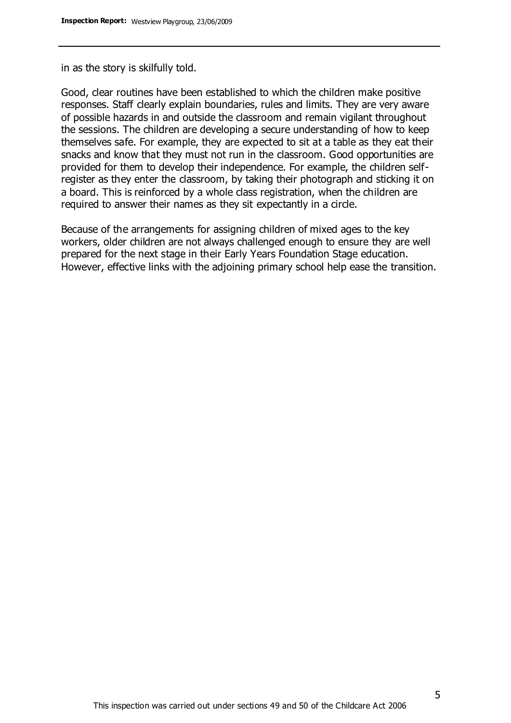in as the story is skilfully told.

Good, clear routines have been established to which the children make positive responses. Staff clearly explain boundaries, rules and limits. They are very aware of possible hazards in and outside the classroom and remain vigilant throughout the sessions. The children are developing a secure understanding of how to keep themselves safe. For example, they are expected to sit at a table as they eat their snacks and know that they must not run in the classroom. Good opportunities are provided for them to develop their independence. For example, the children selfregister as they enter the classroom, by taking their photograph and sticking it on a board. This is reinforced by a whole class registration, when the children are required to answer their names as they sit expectantly in a circle.

Because of the arrangements for assigning children of mixed ages to the key workers, older children are not always challenged enough to ensure they are well prepared for the next stage in their Early Years Foundation Stage education. However, effective links with the adjoining primary school help ease the transition.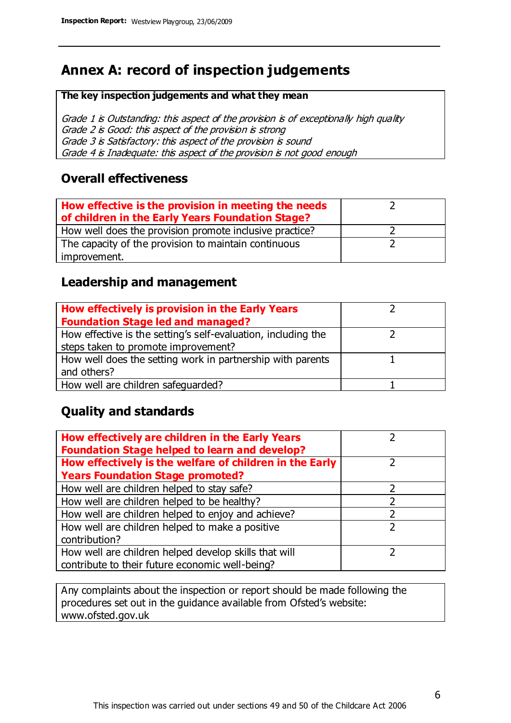# **Annex A: record of inspection judgements**

#### **The key inspection judgements and what they mean**

Grade 1 is Outstanding: this aspect of the provision is of exceptionally high quality Grade 2 is Good: this aspect of the provision is strong Grade 3 is Satisfactory: this aspect of the provision is sound Grade 4 is Inadequate: this aspect of the provision is not good enough

#### **Overall effectiveness**

| How effective is the provision in meeting the needs<br>of children in the Early Years Foundation Stage? |  |
|---------------------------------------------------------------------------------------------------------|--|
| How well does the provision promote inclusive practice?                                                 |  |
| The capacity of the provision to maintain continuous                                                    |  |
| improvement.                                                                                            |  |

#### **Leadership and management**

| How effectively is provision in the Early Years               |  |
|---------------------------------------------------------------|--|
| <b>Foundation Stage led and managed?</b>                      |  |
| How effective is the setting's self-evaluation, including the |  |
| steps taken to promote improvement?                           |  |
| How well does the setting work in partnership with parents    |  |
| and others?                                                   |  |
| How well are children safequarded?                            |  |

#### **Quality and standards**

| How effectively are children in the Early Years<br><b>Foundation Stage helped to learn and develop?</b> |   |
|---------------------------------------------------------------------------------------------------------|---|
| How effectively is the welfare of children in the Early                                                 | ר |
| <b>Years Foundation Stage promoted?</b>                                                                 |   |
| How well are children helped to stay safe?                                                              |   |
| How well are children helped to be healthy?                                                             |   |
| How well are children helped to enjoy and achieve?                                                      |   |
| How well are children helped to make a positive                                                         | 2 |
| contribution?                                                                                           |   |
| How well are children helped develop skills that will                                                   |   |
| contribute to their future economic well-being?                                                         |   |

Any complaints about the inspection or report should be made following the procedures set out in the guidance available from Ofsted's website: www.ofsted.gov.uk